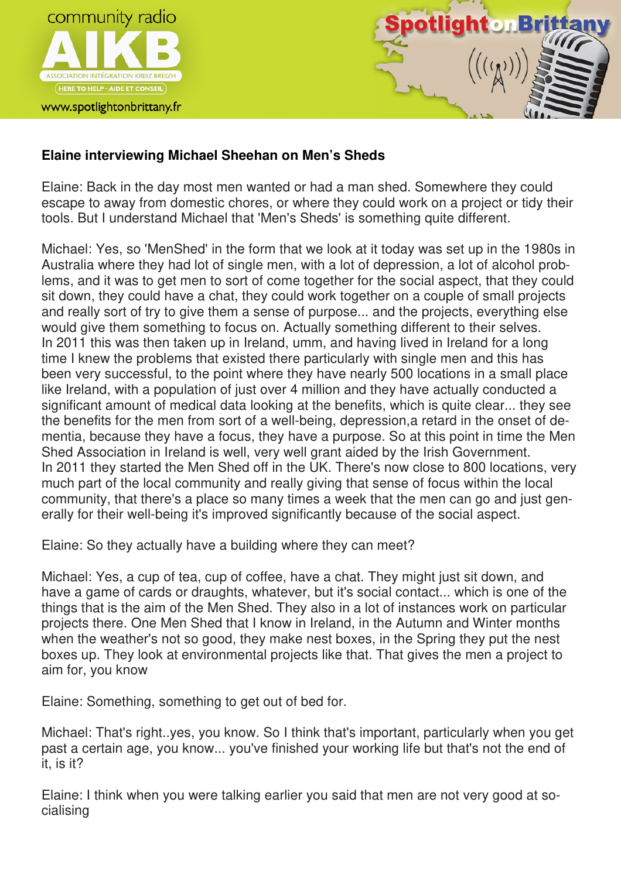



## **Elaine interviewing Michael Sheehan on Men's Sheds**

Elaine: Back in the day most men wanted or had a man shed. Somewhere they could escape to away from domestic chores, or where they could work on a project or tidy their tools. But I understand Michael that 'Men's Sheds' is something quite different.

Michael: Yes, so 'MenShed' in the form that we look at it today was set up in the 1980s in Australia where they had lot of single men, with a lot of depression, a lot of alcohol problems, and it was to get men to sort of come together for the social aspect, that they could sit down, they could have a chat, they could work together on a couple of small projects and really sort of try to give them a sense of purpose... and the projects, everything else would give them something to focus on. Actually something different to their selves. In 2011 this was then taken up in Ireland, umm, and having lived in Ireland for a long time I knew the problems that existed there particularly with single men and this has been very successful, to the point where they have nearly 500 locations in a small place like Ireland, with a population of just over 4 million and they have actually conducted a significant amount of medical data looking at the benefits, which is quite clear... they see the benefits for the men from sort of a well-being, depression,a retard in the onset of dementia, because they have a focus, they have a purpose. So at this point in time the Men Shed Association in Ireland is well, very well grant aided by the Irish Government. In 2011 they started the Men Shed off in the UK. There's now close to 800 locations, very much part of the local community and really giving that sense of focus within the local community, that there's a place so many times a week that the men can go and just generally for their well-being it's improved significantly because of the social aspect.

Elaine: So they actually have a building where they can meet?

Michael: Yes, a cup of tea, cup of coffee, have a chat. They might just sit down, and have a game of cards or draughts, whatever, but it's social contact... which is one of the things that is the aim of the Men Shed. They also in a lot of instances work on particular projects there. One Men Shed that I know in Ireland, in the Autumn and Winter months when the weather's not so good, they make nest boxes, in the Spring they put the nest boxes up. They look at environmental projects like that. That gives the men a project to aim for, you know

Elaine: Something, something to get out of bed for.

Michael: That's right..yes, you know. So I think that's important, particularly when you get past a certain age, you know... you've finished your working life but that's not the end of it, is it?

Elaine: I think when you were talking earlier you said that men are not very good at socialising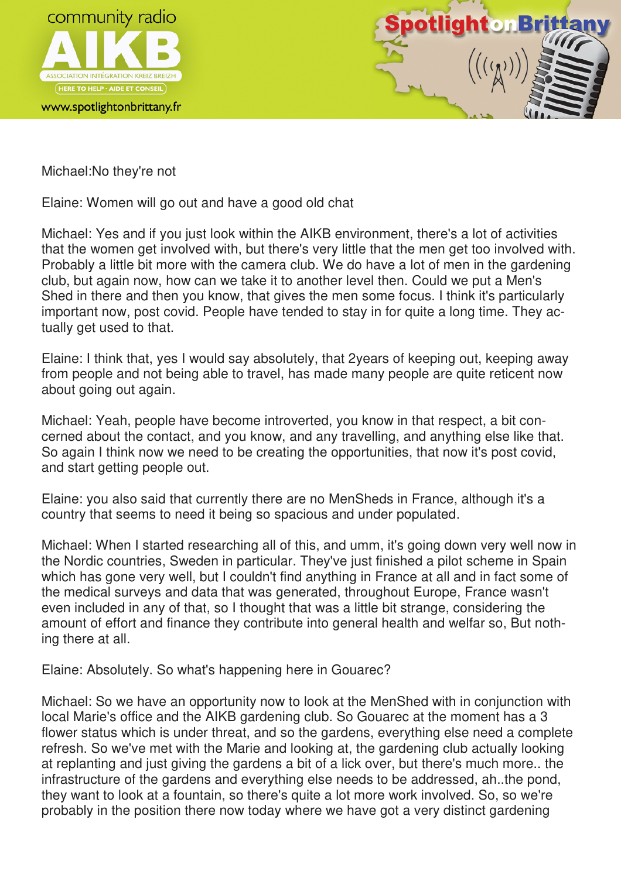



Michael:No they're not

Elaine: Women will go out and have a good old chat

Michael: Yes and if you just look within the AIKB environment, there's a lot of activities that the women get involved with, but there's very little that the men get too involved with. Probably a little bit more with the camera club. We do have a lot of men in the gardening club, but again now, how can we take it to another level then. Could we put a Men's Shed in there and then you know, that gives the men some focus. I think it's particularly important now, post covid. People have tended to stay in for quite a long time. They actually get used to that.

Elaine: I think that, yes I would say absolutely, that 2years of keeping out, keeping away from people and not being able to travel, has made many people are quite reticent now about going out again.

Michael: Yeah, people have become introverted, you know in that respect, a bit concerned about the contact, and you know, and any travelling, and anything else like that. So again I think now we need to be creating the opportunities, that now it's post covid, and start getting people out.

Elaine: you also said that currently there are no MenSheds in France, although it's a country that seems to need it being so spacious and under populated.

Michael: When I started researching all of this, and umm, it's going down very well now in the Nordic countries, Sweden in particular. They've just finished a pilot scheme in Spain which has gone very well, but I couldn't find anything in France at all and in fact some of the medical surveys and data that was generated, throughout Europe, France wasn't even included in any of that, so I thought that was a little bit strange, considering the amount of effort and finance they contribute into general health and welfar so, But nothing there at all.

Elaine: Absolutely. So what's happening here in Gouarec?

Michael: So we have an opportunity now to look at the MenShed with in conjunction with local Marie's office and the AIKB gardening club. So Gouarec at the moment has a 3 flower status which is under threat, and so the gardens, everything else need a complete refresh. So we've met with the Marie and looking at, the gardening club actually looking at replanting and just giving the gardens a bit of a lick over, but there's much more.. the infrastructure of the gardens and everything else needs to be addressed, ah..the pond, they want to look at a fountain, so there's quite a lot more work involved. So, so we're probably in the position there now today where we have got a very distinct gardening